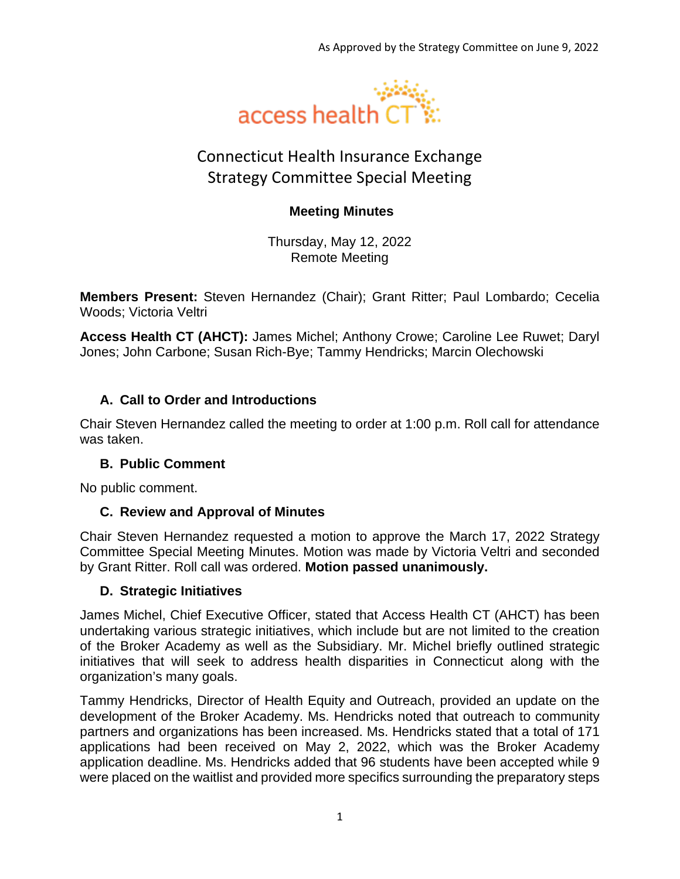

# Connecticut Health Insurance Exchange Strategy Committee Special Meeting

### **Meeting Minutes**

Thursday, May 12, 2022 Remote Meeting

**Members Present:** Steven Hernandez (Chair); Grant Ritter; Paul Lombardo; Cecelia Woods; Victoria Veltri

**Access Health CT (AHCT):** James Michel; Anthony Crowe; Caroline Lee Ruwet; Daryl Jones; John Carbone; Susan Rich-Bye; Tammy Hendricks; Marcin Olechowski

## **A. Call to Order and Introductions**

Chair Steven Hernandez called the meeting to order at 1:00 p.m. Roll call for attendance was taken.

#### **B. Public Comment**

No public comment.

#### **C. Review and Approval of Minutes**

Chair Steven Hernandez requested a motion to approve the March 17, 2022 Strategy Committee Special Meeting Minutes. Motion was made by Victoria Veltri and seconded by Grant Ritter. Roll call was ordered. **Motion passed unanimously.**

#### **D. Strategic Initiatives**

James Michel, Chief Executive Officer, stated that Access Health CT (AHCT) has been undertaking various strategic initiatives, which include but are not limited to the creation of the Broker Academy as well as the Subsidiary. Mr. Michel briefly outlined strategic initiatives that will seek to address health disparities in Connecticut along with the organization's many goals.

Tammy Hendricks, Director of Health Equity and Outreach, provided an update on the development of the Broker Academy. Ms. Hendricks noted that outreach to community partners and organizations has been increased. Ms. Hendricks stated that a total of 171 applications had been received on May 2, 2022, which was the Broker Academy application deadline. Ms. Hendricks added that 96 students have been accepted while 9 were placed on the waitlist and provided more specifics surrounding the preparatory steps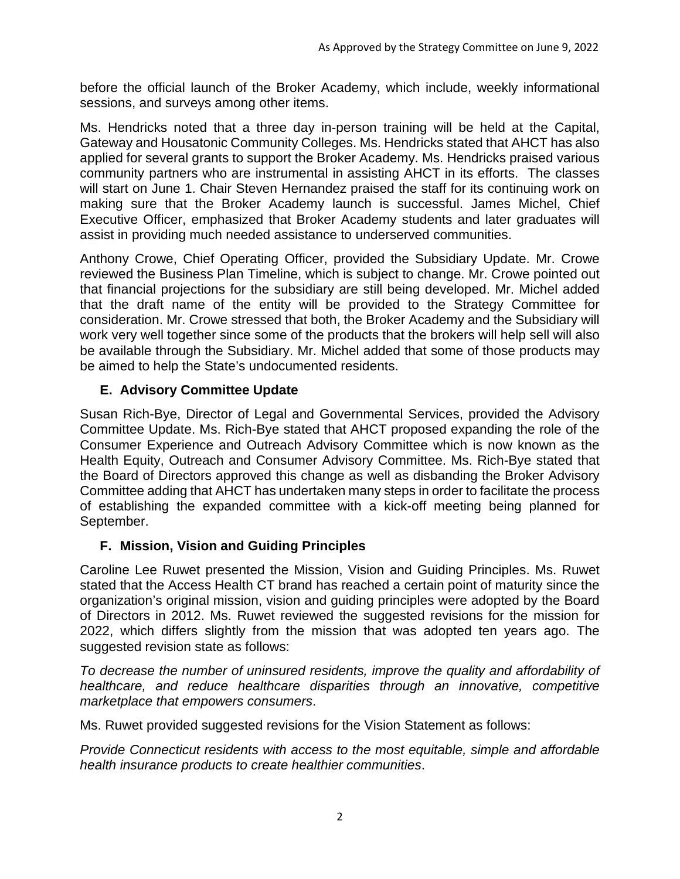before the official launch of the Broker Academy, which include, weekly informational sessions, and surveys among other items.

Ms. Hendricks noted that a three day in-person training will be held at the Capital, Gateway and Housatonic Community Colleges. Ms. Hendricks stated that AHCT has also applied for several grants to support the Broker Academy. Ms. Hendricks praised various community partners who are instrumental in assisting AHCT in its efforts. The classes will start on June 1. Chair Steven Hernandez praised the staff for its continuing work on making sure that the Broker Academy launch is successful. James Michel, Chief Executive Officer, emphasized that Broker Academy students and later graduates will assist in providing much needed assistance to underserved communities.

Anthony Crowe, Chief Operating Officer, provided the Subsidiary Update. Mr. Crowe reviewed the Business Plan Timeline, which is subject to change. Mr. Crowe pointed out that financial projections for the subsidiary are still being developed. Mr. Michel added that the draft name of the entity will be provided to the Strategy Committee for consideration. Mr. Crowe stressed that both, the Broker Academy and the Subsidiary will work very well together since some of the products that the brokers will help sell will also be available through the Subsidiary. Mr. Michel added that some of those products may be aimed to help the State's undocumented residents.

#### **E. Advisory Committee Update**

Susan Rich-Bye, Director of Legal and Governmental Services, provided the Advisory Committee Update. Ms. Rich-Bye stated that AHCT proposed expanding the role of the Consumer Experience and Outreach Advisory Committee which is now known as the Health Equity, Outreach and Consumer Advisory Committee. Ms. Rich-Bye stated that the Board of Directors approved this change as well as disbanding the Broker Advisory Committee adding that AHCT has undertaken many steps in order to facilitate the process of establishing the expanded committee with a kick-off meeting being planned for September.

## **F. Mission, Vision and Guiding Principles**

Caroline Lee Ruwet presented the Mission, Vision and Guiding Principles. Ms. Ruwet stated that the Access Health CT brand has reached a certain point of maturity since the organization's original mission, vision and guiding principles were adopted by the Board of Directors in 2012. Ms. Ruwet reviewed the suggested revisions for the mission for 2022, which differs slightly from the mission that was adopted ten years ago. The suggested revision state as follows:

*To decrease the number of uninsured residents, improve the quality and affordability of healthcare, and reduce healthcare disparities through an innovative, competitive marketplace that empowers consumers*.

Ms. Ruwet provided suggested revisions for the Vision Statement as follows:

*Provide Connecticut residents with access to the most equitable, simple and affordable health insurance products to create healthier communities*.